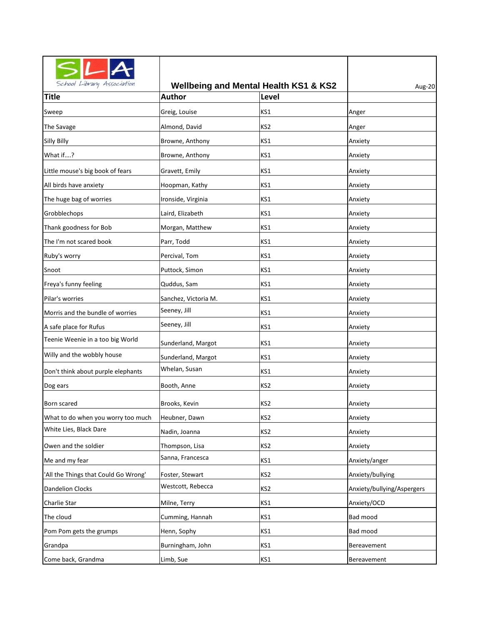| School Library Association           |                      | <b>Wellbeing and Mental Health KS1 &amp; KS2</b> | Aug-20                     |
|--------------------------------------|----------------------|--------------------------------------------------|----------------------------|
| <b>Title</b>                         | <b>Author</b>        | Level                                            |                            |
| Sweep                                | Greig, Louise        | KS1                                              | Anger                      |
| The Savage                           | Almond, David        | KS <sub>2</sub>                                  | Anger                      |
| Silly Billy                          | Browne, Anthony      | KS1                                              | Anxiety                    |
| What if?                             | Browne, Anthony      | KS1                                              | Anxiety                    |
| Little mouse's big book of fears     | Gravett, Emily       | KS1                                              | Anxiety                    |
| All birds have anxiety               | Hoopman, Kathy       | KS1                                              | Anxiety                    |
| The huge bag of worries              | Ironside, Virginia   | KS1                                              | Anxiety                    |
| Grobblechops                         | Laird, Elizabeth     | KS1                                              | Anxiety                    |
| Thank goodness for Bob               | Morgan, Matthew      | KS1                                              | Anxiety                    |
| The I'm not scared book              | Parr, Todd           | KS1                                              | Anxiety                    |
| Ruby's worry                         | Percival, Tom        | KS1                                              | Anxiety                    |
| Snoot                                | Puttock, Simon       | KS1                                              | Anxiety                    |
| Freya's funny feeling                | Quddus, Sam          | KS1                                              | Anxiety                    |
| Pilar's worries                      | Sanchez, Victoria M. | KS1                                              | Anxiety                    |
| Morris and the bundle of worries     | Seeney, Jill         | KS1                                              | Anxiety                    |
| A safe place for Rufus               | Seeney, Jill         | KS1                                              | Anxiety                    |
| Teenie Weenie in a too big World     | Sunderland, Margot   | KS1                                              | Anxiety                    |
| Willy and the wobbly house           | Sunderland, Margot   | KS1                                              | Anxiety                    |
| Don't think about purple elephants   | Whelan, Susan        | KS1                                              | Anxiety                    |
| Dog ears                             | Booth, Anne          | KS <sub>2</sub>                                  | Anxiety                    |
| Born scared                          | Brooks, Kevin        | KS <sub>2</sub>                                  | Anxiety                    |
| What to do when you worry too much   | Heubner, Dawn        | KS <sub>2</sub>                                  | Anxiety                    |
| White Lies, Black Dare               | Nadin, Joanna        | KS2                                              | Anxiety                    |
| Owen and the soldier                 | Thompson, Lisa       | KS2                                              | Anxiety                    |
| Me and my fear                       | Sanna, Francesca     | KS1                                              | Anxiety/anger              |
| 'All the Things that Could Go Wrong' | Foster, Stewart      | KS <sub>2</sub>                                  | Anxiety/bullying           |
| <b>Dandelion Clocks</b>              | Westcott, Rebecca    | KS <sub>2</sub>                                  | Anxiety/bullying/Aspergers |
| Charlie Star                         | Milne, Terry         | KS1                                              | Anxiety/OCD                |
| The cloud                            | Cumming, Hannah      | KS1                                              | Bad mood                   |
| Pom Pom gets the grumps              | Henn, Sophy          | KS1                                              | Bad mood                   |
| Grandpa                              | Burningham, John     | KS1                                              | Bereavement                |
| Come back, Grandma                   | Limb, Sue            | KS1                                              | Bereavement                |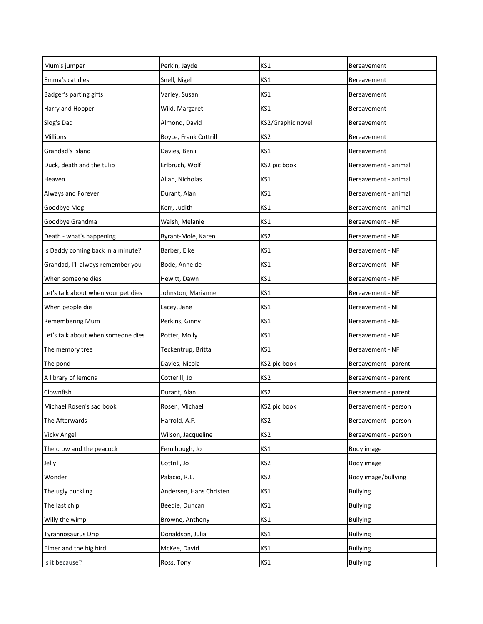| Mum's jumper                        | Perkin, Jayde           | KS1               | Bereavement          |
|-------------------------------------|-------------------------|-------------------|----------------------|
| Emma's cat dies                     | Snell, Nigel            | KS1               | Bereavement          |
| Badger's parting gifts              | Varley, Susan           | KS1               | Bereavement          |
| Harry and Hopper                    | Wild, Margaret          | KS1               | Bereavement          |
| Slog's Dad                          | Almond, David           | KS2/Graphic novel | Bereavement          |
| <b>Millions</b>                     | Boyce, Frank Cottrill   | KS2               | Bereavement          |
| Grandad's Island                    | Davies, Benji           | KS1               | Bereavement          |
| Duck, death and the tulip           | Erlbruch, Wolf          | KS2 pic book      | Bereavement - animal |
| Heaven                              | Allan, Nicholas         | KS1               | Bereavement - animal |
| Always and Forever                  | Durant, Alan            | KS1               | Bereavement - animal |
| Goodbye Mog                         | Kerr, Judith            | KS1               | Bereavement - animal |
| Goodbye Grandma                     | Walsh, Melanie          | KS1               | Bereavement - NF     |
| Death - what's happening            | Byrant-Mole, Karen      | KS <sub>2</sub>   | Bereavement - NF     |
| Is Daddy coming back in a minute?   | Barber, Elke            | KS1               | Bereavement - NF     |
| Grandad, I'll always remember you   | Bode, Anne de           | KS1               | Bereavement - NF     |
| When someone dies                   | Hewitt, Dawn            | KS1               | Bereavement - NF     |
| Let's talk about when your pet dies | Johnston, Marianne      | KS1               | Bereavement - NF     |
| When people die                     | Lacey, Jane             | KS1               | Bereavement - NF     |
| <b>Remembering Mum</b>              | Perkins, Ginny          | KS1               | Bereavement - NF     |
| Let's talk about when someone dies  | Potter, Molly           | KS1               | Bereavement - NF     |
| The memory tree                     | Teckentrup, Britta      | KS1               | Bereavement - NF     |
| The pond                            | Davies, Nicola          | KS2 pic book      | Bereavement - parent |
| A library of lemons                 | Cotterill, Jo           | KS2               | Bereavement - parent |
| Clownfish                           | Durant, Alan            | KS2               | Bereavement - parent |
| Michael Rosen's sad book            | Rosen, Michael          | KS2 pic book      | Bereavement - person |
| The Afterwards                      | Harrold, A.F.           | KS <sub>2</sub>   | Bereavement - person |
| Vicky Angel                         | Wilson, Jacqueline      | KS <sub>2</sub>   | Bereavement - person |
| The crow and the peacock            | Fernihough, Jo          | KS1               | Body image           |
| Jelly                               | Cottrill, Jo            | KS <sub>2</sub>   | Body image           |
| Wonder                              | Palacio, R.L.           | KS <sub>2</sub>   | Body image/bullying  |
| The ugly duckling                   | Andersen, Hans Christen | KS1               | <b>Bullying</b>      |
| The last chip                       | Beedie, Duncan          | KS1               | <b>Bullying</b>      |
| Willy the wimp                      | Browne, Anthony         | KS1               | <b>Bullying</b>      |
| Tyrannosaurus Drip                  | Donaldson, Julia        | KS1               | <b>Bullying</b>      |
| Elmer and the big bird              | McKee, David            | KS1               | <b>Bullying</b>      |
| Is it because?                      | Ross, Tony              | KS1               | <b>Bullying</b>      |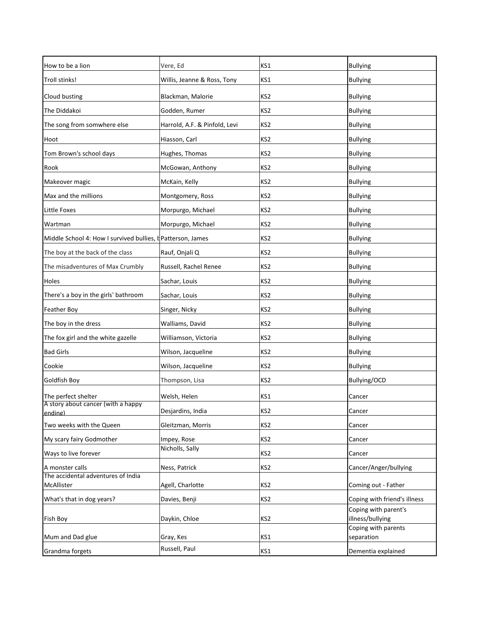| How to be a lion                                            | Vere, Ed                       | KS1             | <b>Bullying</b>                                      |
|-------------------------------------------------------------|--------------------------------|-----------------|------------------------------------------------------|
| Troll stinks!                                               | Willis, Jeanne & Ross, Tony    | KS1             | <b>Bullying</b>                                      |
| Cloud busting                                               | Blackman, Malorie              | KS2             | <b>Bullying</b>                                      |
| The Diddakoi                                                | Godden, Rumer                  | KS2             | <b>Bullying</b>                                      |
| The song from somwhere else                                 | Harrold, A.F. & Pinfold, Levi  | KS2             | <b>Bullying</b>                                      |
| Hoot                                                        | Hiasson, Carl                  | KS2             | <b>Bullying</b>                                      |
| Tom Brown's school days                                     | Hughes, Thomas                 | KS2             | <b>Bullying</b>                                      |
| Rook                                                        | McGowan, Anthony               | KS2             | <b>Bullying</b>                                      |
| Makeover magic                                              | McKain, Kelly                  | KS2             | <b>Bullying</b>                                      |
| Max and the millions                                        | Montgomery, Ross               | KS2             | <b>Bullying</b>                                      |
| Little Foxes                                                | Morpurgo, Michael              | KS2             | <b>Bullying</b>                                      |
| Wartman                                                     | Morpurgo, Michael              | KS2             | <b>Bullying</b>                                      |
| Middle School 4: How I survived bullies, t Patterson, James |                                | KS2             | <b>Bullying</b>                                      |
| The boy at the back of the class                            | Rauf, Onjali Q                 | KS2             | <b>Bullying</b>                                      |
| The misadventures of Max Crumbly                            | Russell, Rachel Renee          | KS2             | <b>Bullying</b>                                      |
| Holes                                                       | Sachar, Louis                  | KS2             | <b>Bullying</b>                                      |
| There's a boy in the girls' bathroom                        | Sachar, Louis                  | KS2             | <b>Bullying</b>                                      |
| Feather Boy                                                 | Singer, Nicky                  | KS2             | <b>Bullying</b>                                      |
| The boy in the dress                                        | Walliams, David                | KS2             | <b>Bullying</b>                                      |
| The fox girl and the white gazelle                          | Williamson, Victoria           | KS2             | <b>Bullying</b>                                      |
| <b>Bad Girls</b>                                            | Wilson, Jacqueline             | KS2             | <b>Bullying</b>                                      |
| Cookie                                                      | Wilson, Jacqueline             | KS2             | <b>Bullying</b>                                      |
| Goldfish Boy                                                | Thompson, Lisa                 | KS2             | Bullying/OCD                                         |
| The perfect shelter                                         | Welsh, Helen                   | KS1             | Cancer                                               |
| A story about cancer (with a happy                          | Desjardins, India              | KS2             | Cancer                                               |
| ending)                                                     | Gleitzman, Morris              |                 |                                                      |
| Two weeks with the Queen                                    |                                | KS <sub>2</sub> | Cancer                                               |
| My scary fairy Godmother                                    | Impey, Rose<br>Nicholls, Sally | KS <sub>2</sub> | Cancer                                               |
| Ways to live forever                                        |                                | KS <sub>2</sub> | Cancer                                               |
| A monster calls                                             | Ness, Patrick                  | KS <sub>2</sub> | Cancer/Anger/bullying                                |
| The accidental adventures of India<br>McAllister            | Agell, Charlotte               | KS <sub>2</sub> | Coming out - Father                                  |
|                                                             |                                |                 |                                                      |
| What's that in dog years?                                   | Davies, Benji                  | KS <sub>2</sub> | Coping with friend's illness<br>Coping with parent's |
| Fish Boy                                                    | Daykin, Chloe                  | KS <sub>2</sub> | illness/bullying                                     |
|                                                             |                                |                 | Coping with parents                                  |
| Mum and Dad glue                                            | Gray, Kes                      | KS1             | separation                                           |
| Grandma forgets                                             | Russell, Paul                  | KS1             | Dementia explained                                   |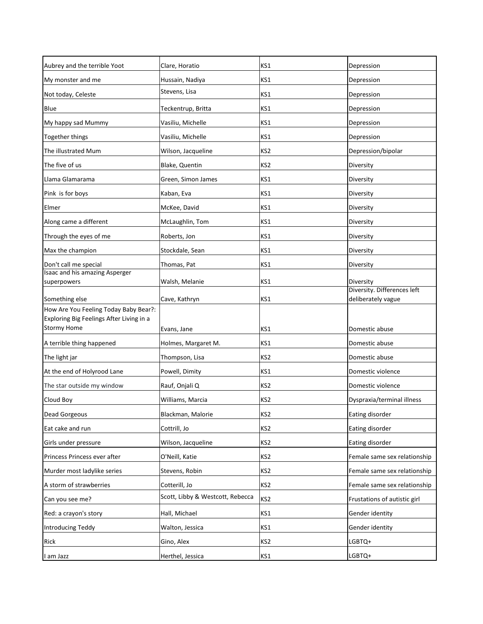| Aubrey and the terrible Yoot                            | Clare, Horatio                   | KS1             | Depression                   |
|---------------------------------------------------------|----------------------------------|-----------------|------------------------------|
| My monster and me                                       | Hussain, Nadiya                  | KS1             | Depression                   |
| Not today, Celeste                                      | Stevens, Lisa                    | KS1             | Depression                   |
| Blue                                                    | Teckentrup, Britta               | KS1             | Depression                   |
| My happy sad Mummy                                      | Vasiliu, Michelle                | KS1             | Depression                   |
| Together things                                         | Vasiliu, Michelle                | KS1             | Depression                   |
| The illustrated Mum                                     | Wilson, Jacqueline               | KS <sub>2</sub> | Depression/bipolar           |
| The five of us                                          | Blake, Quentin                   | KS <sub>2</sub> | Diversity                    |
| Llama Glamarama                                         | Green, Simon James               | KS1             | Diversity                    |
| Pink is for boys                                        | Kaban, Eva                       | KS1             | Diversity                    |
| Elmer                                                   | McKee, David                     | KS1             | Diversity                    |
| Along came a different                                  | McLaughlin, Tom                  | KS1             | Diversity                    |
| Through the eyes of me                                  | Roberts, Jon                     | KS1             | Diversity                    |
| Max the champion                                        | Stockdale, Sean                  | KS1             | Diversity                    |
| Don't call me special                                   | Thomas, Pat                      | KS1             | Diversity                    |
| Isaac and his amazing Asperger<br>superpowers           | Walsh, Melanie                   | KS1             | Diversity                    |
|                                                         |                                  |                 | Diversity. Differences left  |
| Something else<br>How Are You Feeling Today Baby Bear?: | Cave, Kathryn                    | KS1             | deliberately vague           |
| Exploring Big Feelings After Living in a                |                                  |                 |                              |
| <b>Stormy Home</b>                                      | Evans, Jane                      | KS1             | Domestic abuse               |
| A terrible thing happened                               | Holmes, Margaret M.              | KS1             | Domestic abuse               |
| The light jar                                           | Thompson, Lisa                   | KS <sub>2</sub> | Domestic abuse               |
| At the end of Holyrood Lane                             | Powell, Dimity                   | KS1             | Domestic violence            |
| The star outside my window                              | Rauf, Onjali Q                   | KS <sub>2</sub> | Domestic violence            |
| Cloud Boy                                               | Williams, Marcia                 | KS <sub>2</sub> | Dyspraxia/terminal illness   |
| <b>Dead Gorgeous</b>                                    | Blackman, Malorie                | KS <sub>2</sub> | Eating disorder              |
| Eat cake and run                                        | Cottrill, Jo                     | KS <sub>2</sub> | Eating disorder              |
| Girls under pressure                                    | Wilson, Jacqueline               | KS <sub>2</sub> | Eating disorder              |
| Princess Princess ever after                            | O'Neill, Katie                   | KS <sub>2</sub> | Female same sex relationship |
| Murder most ladylike series                             | Stevens, Robin                   | KS <sub>2</sub> | Female same sex relationship |
| A storm of strawberries                                 | Cotterill, Jo                    | KS <sub>2</sub> | Female same sex relationship |
| Can you see me?                                         | Scott, Libby & Westcott, Rebecca | KS <sub>2</sub> | Frustations of autistic girl |
| Red: a crayon's story                                   | Hall, Michael                    | KS1             | Gender identity              |
| <b>Introducing Teddy</b>                                | Walton, Jessica                  | KS1             | Gender identity              |
| Rick                                                    | Gino, Alex                       | KS <sub>2</sub> | LGBTQ+                       |
| I am Jazz                                               | Herthel, Jessica                 | KS1             | LGBTQ+                       |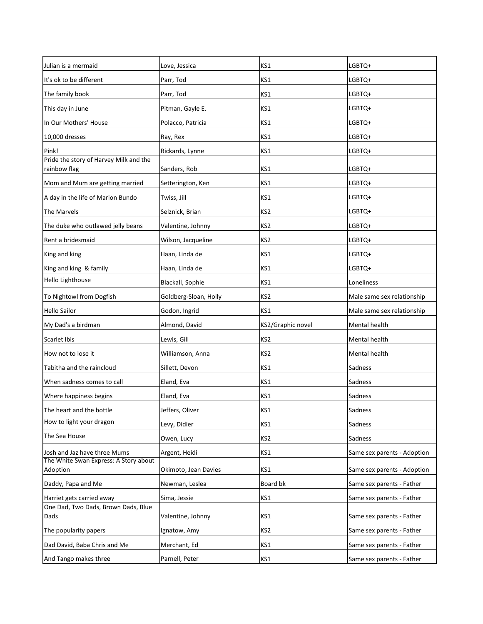| Julian is a mermaid                                    | Love, Jessica         | KS1               | LGBTQ+                      |
|--------------------------------------------------------|-----------------------|-------------------|-----------------------------|
| It's ok to be different                                | Parr, Tod             | KS1               | LGBTQ+                      |
| The family book                                        | Parr, Tod             | KS1               | LGBTQ+                      |
| This day in June                                       | Pitman, Gayle E.      | KS1               | LGBTQ+                      |
| In Our Mothers' House                                  | Polacco, Patricia     | KS1               | LGBTQ+                      |
| 10,000 dresses                                         | Ray, Rex              | KS1               | LGBTQ+                      |
| Pink!                                                  | Rickards, Lynne       | KS1               | LGBTQ+                      |
| Pride the story of Harvey Milk and the<br>rainbow flag | Sanders, Rob          | KS1               | LGBTQ+                      |
| Mom and Mum are getting married                        | Setterington, Ken     | KS1               | LGBTQ+                      |
| A day in the life of Marion Bundo                      | Twiss, Jill           | KS1               | LGBTQ+                      |
| The Marvels                                            | Selznick, Brian       | KS2               | LGBTQ+                      |
| The duke who outlawed jelly beans                      | Valentine, Johnny     | KS2               | LGBTQ+                      |
| Rent a bridesmaid                                      | Wilson, Jacqueline    | KS2               | LGBTQ+                      |
| King and king                                          | Haan, Linda de        | KS1               | LGBTQ+                      |
| King and king & family                                 | Haan, Linda de        | KS1               | LGBTQ+                      |
| Hello Lighthouse                                       | Blackall, Sophie      | KS1               | Loneliness                  |
| To Nightowl from Dogfish                               | Goldberg-Sloan, Holly | KS2               | Male same sex relationship  |
| <b>Hello Sailor</b>                                    | Godon, Ingrid         | KS1               | Male same sex relationship  |
| My Dad's a birdman                                     | Almond, David         | KS2/Graphic novel | Mental health               |
| Scarlet Ibis                                           | Lewis, Gill           | KS <sub>2</sub>   | Mental health               |
| How not to lose it                                     | Williamson, Anna      | KS2               | Mental health               |
| Tabitha and the raincloud                              | Sillett, Devon        | KS1               | Sadness                     |
| When sadness comes to call                             | Eland, Eva            | KS1               | Sadness                     |
| Where happiness begins                                 | Eland, Eva            | KS1               | Sadness                     |
| The heart and the bottle                               | Jeffers, Oliver       | KS1               | Sadness                     |
| How to light your dragon                               | Levy, Didier          | KS1               | Sadness                     |
| The Sea House                                          | Owen, Lucy            | KS2               | Sadness                     |
| Josh and Jaz have three Mums                           | Argent, Heidi         | KS1               | Same sex parents - Adoption |
| The White Swan Express: A Story about<br>Adoption      | Okimoto, Jean Davies  | KS1               | Same sex parents - Adoption |
| Daddy, Papa and Me                                     | Newman, Leslea        | Board bk          | Same sex parents - Father   |
| Harriet gets carried away                              | Sima, Jessie          | KS1               | Same sex parents - Father   |
| One Dad, Two Dads, Brown Dads, Blue                    |                       |                   |                             |
| Dads                                                   | Valentine, Johnny     | KS1               | Same sex parents - Father   |
| The popularity papers                                  | Ignatow, Amy          | KS <sub>2</sub>   | Same sex parents - Father   |
| Dad David, Baba Chris and Me                           | Merchant, Ed          | KS1               | Same sex parents - Father   |
| And Tango makes three                                  | Parnell, Peter        | KS1               | Same sex parents - Father   |